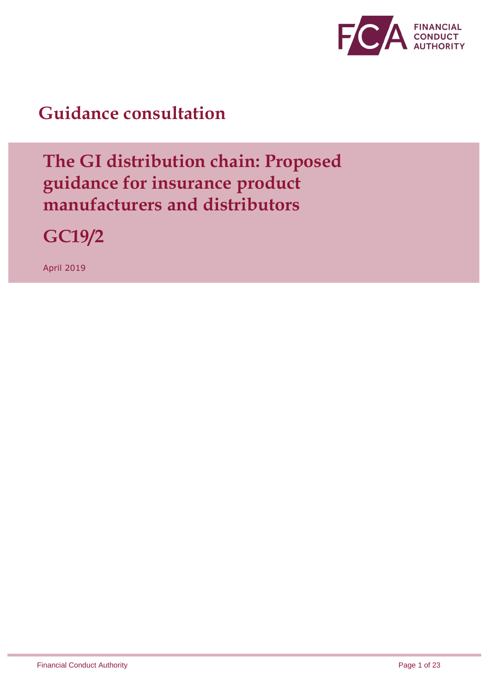

## **Guidance consultation**

## **The GI distribution chain: Proposed guidance for insurance product manufacturers and distributors**

**GC19/2**

April 2019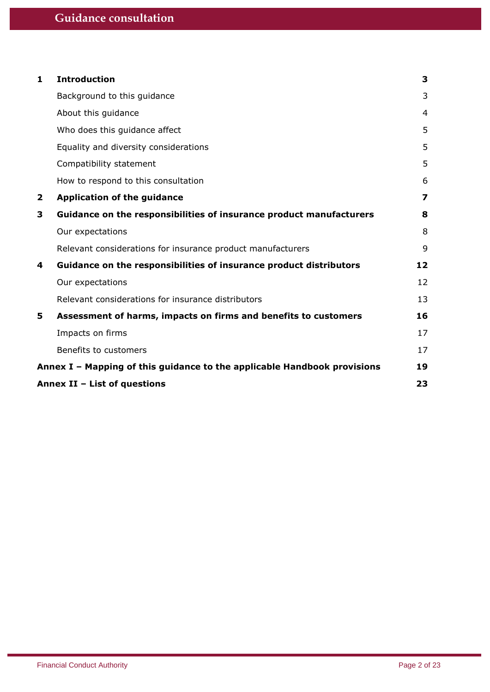| 1            | <b>Introduction</b>                                                      | 3                       |
|--------------|--------------------------------------------------------------------------|-------------------------|
|              | Background to this guidance                                              | 3                       |
|              | About this guidance                                                      | 4                       |
|              | Who does this guidance affect                                            | 5                       |
|              | Equality and diversity considerations                                    | 5                       |
|              | Compatibility statement                                                  | 5                       |
|              | How to respond to this consultation                                      | 6                       |
| $\mathbf{2}$ | <b>Application of the guidance</b>                                       | $\overline{\mathbf{z}}$ |
| 3            | Guidance on the responsibilities of insurance product manufacturers      | 8                       |
|              | Our expectations                                                         | 8                       |
|              | Relevant considerations for insurance product manufacturers              | 9                       |
| 4            | Guidance on the responsibilities of insurance product distributors       | 12                      |
|              | Our expectations                                                         | 12                      |
|              | Relevant considerations for insurance distributors                       | 13                      |
| 5.           | Assessment of harms, impacts on firms and benefits to customers          | 16                      |
|              | Impacts on firms                                                         | 17                      |
|              | Benefits to customers                                                    | 17                      |
|              | Annex I - Mapping of this guidance to the applicable Handbook provisions | 19                      |
|              | Annex II - List of questions                                             | 23                      |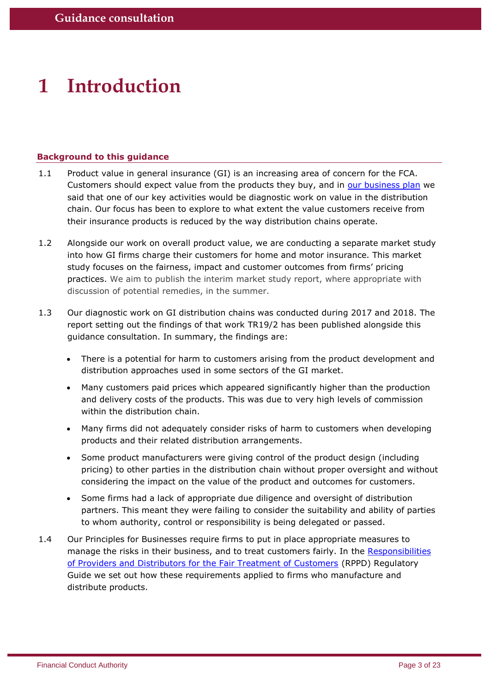# <span id="page-2-0"></span>**1 Introduction**

## <span id="page-2-1"></span>**Background to this guidance**

- 1.1 Product value in general insurance (GI) is an increasing area of concern for the FCA. Customers should expect value from the products they buy, and in [our business plan](https://www.fca.org.uk/publication/business-plans/business-plan-2018-19.pdf) we said that one of our key activities would be diagnostic work on value in the distribution chain. Our focus has been to explore to what extent the value customers receive from their insurance products is reduced by the way distribution chains operate.
- 1.2 Alongside our work on overall product value, we are conducting a separate market study into how GI firms charge their customers for home and motor insurance. This market study focuses on the fairness, impact and customer outcomes from firms' pricing practices. We aim to publish the interim market study report, where appropriate with discussion of potential remedies, in the summer.
- <span id="page-2-2"></span>1.3 Our diagnostic work on GI distribution chains was conducted during 2017 and 2018. The report setting out the findings of that work TR19/2 has been published alongside this guidance consultation. In summary, the findings are:
	- There is a potential for harm to customers arising from the product development and distribution approaches used in some sectors of the GI market.
	- Many customers paid prices which appeared significantly higher than the production and delivery costs of the products. This was due to very high levels of commission within the distribution chain.
	- Many firms did not adequately consider risks of harm to customers when developing products and their related distribution arrangements.
	- Some product manufacturers were giving control of the product design (including pricing) to other parties in the distribution chain without proper oversight and without considering the impact on the value of the product and outcomes for customers.
	- Some firms had a lack of appropriate due diligence and oversight of distribution partners. This meant they were failing to consider the suitability and ability of parties to whom authority, control or responsibility is being delegated or passed.
- 1.4 Our Principles for Businesses require firms to put in place appropriate measures to manage the risks in their business, and to treat customers fairly. In the Responsibilities [of Providers and Distributors for the Fair Treatment of Customers](https://www.handbook.fca.org.uk/handbook/RPPD/link/?view=chapter) (RPPD) Regulatory Guide we set out how these requirements applied to firms who manufacture and distribute products.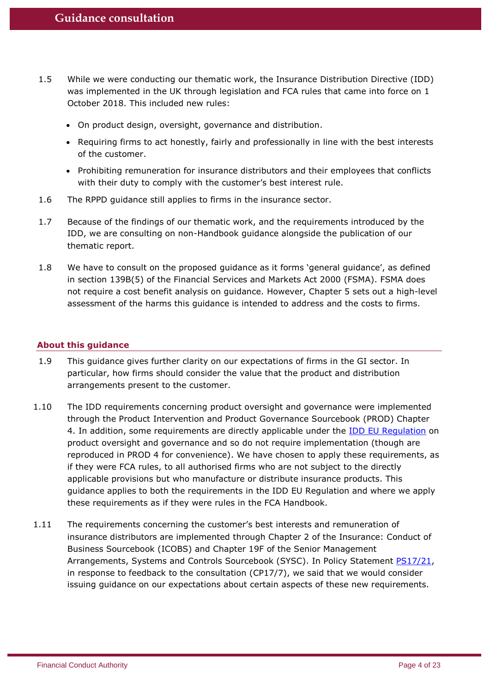- 1.5 While we were conducting our thematic work, the Insurance Distribution Directive (IDD) was implemented in the UK through legislation and FCA rules that came into force on 1 October 2018. This included new rules:
	- On product design, oversight, governance and distribution.
	- Requiring firms to act honestly, fairly and professionally in line with the best interests of the customer.
	- Prohibiting remuneration for insurance distributors and their employees that conflicts with their duty to comply with the customer's best interest rule.
- 1.6 The RPPD guidance still applies to firms in the insurance sector.
- 1.7 Because of the findings of our thematic work, and the requirements introduced by the IDD, we are consulting on non-Handbook guidance alongside the publication of our thematic report.
- 1.8 We have to consult on the proposed guidance as it forms 'general guidance', as defined in section 139B(5) of the Financial Services and Markets Act 2000 (FSMA). FSMA does not require a cost benefit analysis on guidance. However, Chapter [5](#page-15-0) sets out a high-level assessment of the harms this guidance is intended to address and the costs to firms.

## <span id="page-3-0"></span>**About this guidance**

- 1.9 This guidance gives further clarity on our expectations of firms in the GI sector. In particular, how firms should consider the value that the product and distribution arrangements present to the customer.
- 1.10 The IDD requirements concerning product oversight and governance were implemented through the Product Intervention and Product Governance Sourcebook (PROD) Chapter 4. In addition, some requirements are directly applicable under the [IDD EU Regulation](https://eur-lex.europa.eu/legal-content/EN/TXT/?uri=CELEX%3A32017R2358) on product oversight and governance and so do not require implementation (though are reproduced in PROD 4 for convenience). We have chosen to apply these requirements, as if they were FCA rules, to all authorised firms who are not subject to the directly applicable provisions but who manufacture or distribute insurance products. This guidance applies to both the requirements in the IDD EU Regulation and where we apply these requirements as if they were rules in the FCA Handbook.
- 1.11 The requirements concerning the customer's best interests and remuneration of insurance distributors are implemented through Chapter 2 of the Insurance: Conduct of Business Sourcebook (ICOBS) and Chapter 19F of the Senior Management Arrangements, Systems and Controls Sourcebook (SYSC). In Policy Statement [PS17/21,](https://www.fca.org.uk/publication/policy/ps17-21.pdf) in response to feedback to the consultation (CP17/7), we said that we would consider issuing guidance on our expectations about certain aspects of these new requirements.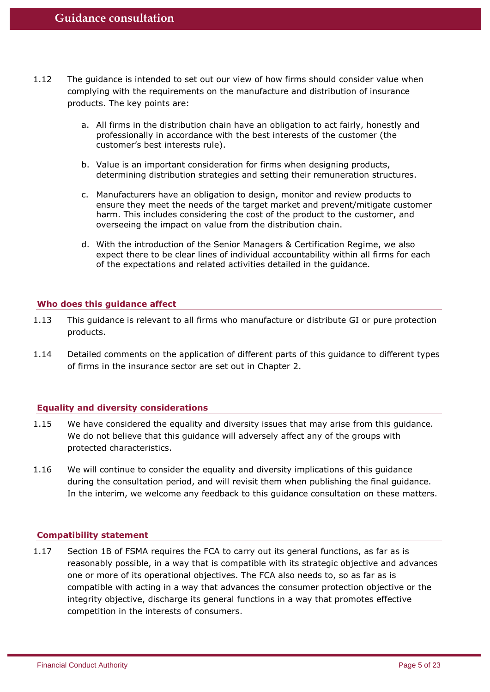- 1.12 The guidance is intended to set out our view of how firms should consider value when complying with the requirements on the manufacture and distribution of insurance products. The key points are:
	- a. All firms in the distribution chain have an obligation to act fairly, honestly and professionally in accordance with the best interests of the customer (the customer's best interests rule).
	- b. Value is an important consideration for firms when designing products, determining distribution strategies and setting their remuneration structures.
	- c. Manufacturers have an obligation to design, monitor and review products to ensure they meet the needs of the target market and prevent/mitigate customer harm. This includes considering the cost of the product to the customer, and overseeing the impact on value from the distribution chain.
	- d. With the introduction of the Senior Managers & Certification Regime, we also expect there to be clear lines of individual accountability within all firms for each of the expectations and related activities detailed in the guidance.

## <span id="page-4-0"></span>**Who does this guidance affect**

- 1.13 This guidance is relevant to all firms who manufacture or distribute GI or pure protection products.
- 1.14 Detailed comments on the application of different parts of this guidance to different types of firms in the insurance sector are set out in Chapter 2.

## <span id="page-4-1"></span>**Equality and diversity considerations**

- 1.15 We have considered the equality and diversity issues that may arise from this guidance. We do not believe that this guidance will adversely affect any of the groups with protected characteristics.
- 1.16 We will continue to consider the equality and diversity implications of this guidance during the consultation period, and will revisit them when publishing the final guidance. In the interim, we welcome any feedback to this guidance consultation on these matters.

#### <span id="page-4-2"></span>**Compatibility statement**

1.17 Section 1B of FSMA requires the FCA to carry out its general functions, as far as is reasonably possible, in a way that is compatible with its strategic objective and advances one or more of its operational objectives. The FCA also needs to, so as far as is compatible with acting in a way that advances the consumer protection objective or the integrity objective, discharge its general functions in a way that promotes effective competition in the interests of consumers.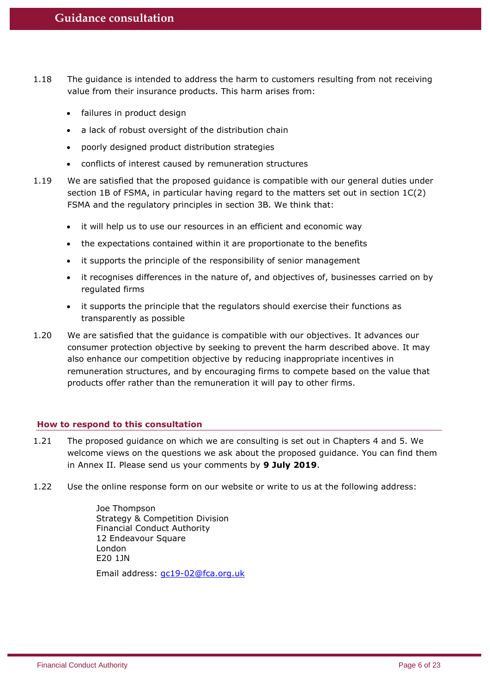- 1.18 The guidance is intended to address the harm to customers resulting from not receiving value from their insurance products. This harm arises from:
	- failures in product design
	- a lack of robust oversight of the distribution chain
	- poorly designed product distribution strategies
	- conflicts of interest caused by remuneration structures
- 1.19 We are satisfied that the proposed guidance is compatible with our general duties under section 1B of FSMA, in particular having regard to the matters set out in section 1C(2) FSMA and the regulatory principles in section 3B. We think that:
	- it will help us to use our resources in an efficient and economic way
	- the expectations contained within it are proportionate to the benefits
	- it supports the principle of the responsibility of senior management
	- it recognises differences in the nature of, and objectives of, businesses carried on by regulated firms
	- it supports the principle that the regulators should exercise their functions as transparently as possible
- 1.20 We are satisfied that the guidance is compatible with our objectives. It advances our consumer protection objective by seeking to prevent the harm described above. It may also enhance our competition objective by reducing inappropriate incentives in remuneration structures, and by encouraging firms to compete based on the value that products offer rather than the remuneration it will pay to other firms.

## <span id="page-5-0"></span>**How to respond to this consultation**

- 1.21 The proposed guidance on which we are consulting is set out in Chapters 4 and 5. We welcome views on the questions we ask about the proposed guidance. You can find them in Annex II. Please send us your comments by **9 July 2019**.
- 1.22 Use the online response form on our website or write to us at the following address:

Joe Thompson Strategy & Competition Division Financial Conduct Authority 12 Endeavour Square London E20 1JN Email address: [gc19-02@fca.org.uk](mailto:gc19-02@fca.org.uk)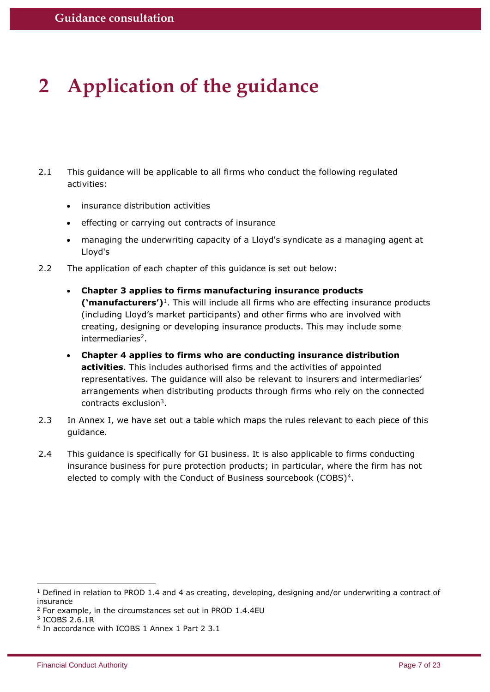# <span id="page-6-0"></span>**2 Application of the guidance**

- 2.1 This guidance will be applicable to all firms who conduct the following regulated activities:
	- insurance distribution activities
	- effecting or carrying out contracts of insurance
	- managing the underwriting capacity of a Lloyd's syndicate as a managing agent at Lloyd's
- 2.2 The application of each chapter of this guidance is set out below:
	- **Chapter 3 applies to firms manufacturing insurance products ('manufacturers')**<sup>1</sup> . This will include all firms who are effecting insurance products (including Lloyd's market participants) and other firms who are involved with creating, designing or developing insurance products. This may include some intermediaries<sup>2</sup>.
	- **Chapter 4 applies to firms who are conducting insurance distribution activities**. This includes authorised firms and the activities of appointed representatives. The guidance will also be relevant to insurers and intermediaries' arrangements when distributing products through firms who rely on the connected contracts exclusion<sup>3</sup>.
- 2.3 In Annex I, we have set out a table which maps the rules relevant to each piece of this guidance.
- 2.4 This guidance is specifically for GI business. It is also applicable to firms conducting insurance business for pure protection products; in particular, where the firm has not elected to comply with the Conduct of Business sourcebook (COBS)<sup>4</sup>.

-

<sup>1</sup> Defined in relation to PROD 1.4 and 4 as creating, developing, designing and/or underwriting a contract of insurance

<sup>2</sup> For example, in the circumstances set out in PROD 1.4.4EU

<sup>3</sup> ICOBS 2.6.1R

<sup>4</sup> In accordance with ICOBS 1 Annex 1 Part 2 3.1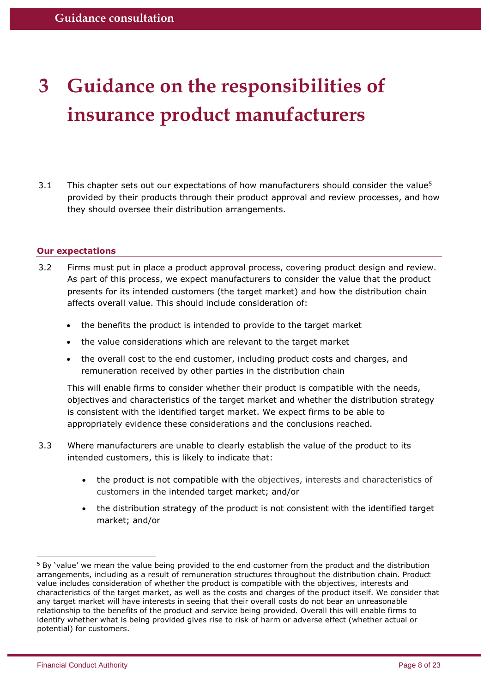# <span id="page-7-0"></span>**3 Guidance on the responsibilities of insurance product manufacturers**

3.1 This chapter sets out our expectations of how manufacturers should consider the value<sup>5</sup> provided by their products through their product approval and review processes, and how they should oversee their distribution arrangements.

## <span id="page-7-1"></span>**Our expectations**

- 3.2 Firms must put in place a product approval process, covering product design and review. As part of this process, we expect manufacturers to consider the value that the product presents for its intended customers (the target market) and how the distribution chain affects overall value. This should include consideration of:
	- the benefits the product is intended to provide to the target market
	- the value considerations which are relevant to the target market
	- the overall cost to the end customer, including product costs and charges, and remuneration received by other parties in the distribution chain

This will enable firms to consider whether their product is compatible with the needs, objectives and characteristics of the target market and whether the distribution strategy is consistent with the identified target market. We expect firms to be able to appropriately evidence these considerations and the conclusions reached.

- 3.3 Where manufacturers are unable to clearly establish the value of the product to its intended customers, this is likely to indicate that:
	- the product is not compatible with the objectives, interests and characteristics of customers in the intended target market; and/or
	- the distribution strategy of the product is not consistent with the identified target market; and/or

-

<sup>5</sup> By 'value' we mean the value being provided to the end customer from the product and the distribution arrangements, including as a result of remuneration structures throughout the distribution chain. Product value includes consideration of whether the product is compatible with the objectives, interests and characteristics of the target market, as well as the costs and charges of the product itself. We consider that any target market will have interests in seeing that their overall costs do not bear an unreasonable relationship to the benefits of the product and service being provided. Overall this will enable firms to identify whether what is being provided gives rise to risk of harm or adverse effect (whether actual or potential) for customers.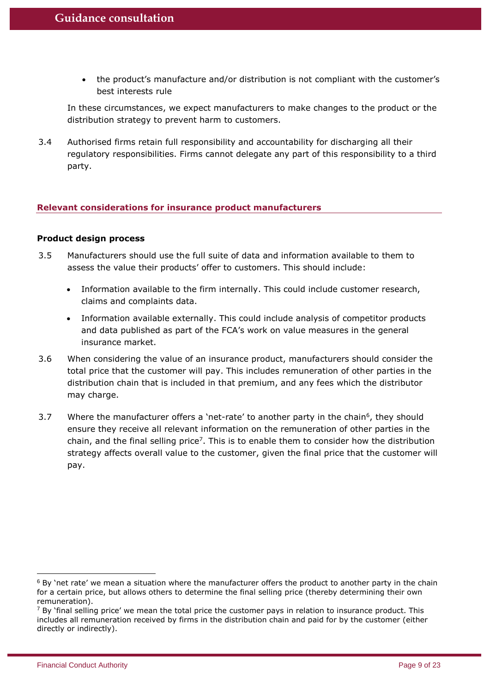• the product's manufacture and/or distribution is not compliant with the customer's best interests rule

In these circumstances, we expect manufacturers to make changes to the product or the distribution strategy to prevent harm to customers.

3.4 Authorised firms retain full responsibility and accountability for discharging all their regulatory responsibilities. Firms cannot delegate any part of this responsibility to a third party.

## <span id="page-8-0"></span>**Relevant considerations for insurance product manufacturers**

## **Product design process**

- 3.5 Manufacturers should use the full suite of data and information available to them to assess the value their products' offer to customers. This should include:
	- Information available to the firm internally. This could include customer research, claims and complaints data.
	- Information available externally. This could include analysis of competitor products and data published as part of the FCA's work on value measures in the general insurance market.
- 3.6 When considering the value of an insurance product, manufacturers should consider the total price that the customer will pay. This includes remuneration of other parties in the distribution chain that is included in that premium, and any fees which the distributor may charge.
- 3.7 Where the manufacturer offers a 'net-rate' to another party in the chain<sup>6</sup>, they should ensure they receive all relevant information on the remuneration of other parties in the chain, and the final selling price<sup>7</sup>. This is to enable them to consider how the distribution strategy affects overall value to the customer, given the final price that the customer will pay.

-

 $6$  By 'net rate' we mean a situation where the manufacturer offers the product to another party in the chain for a certain price, but allows others to determine the final selling price (thereby determining their own remuneration).

 $7$  By 'final selling price' we mean the total price the customer pays in relation to insurance product. This includes all remuneration received by firms in the distribution chain and paid for by the customer (either directly or indirectly).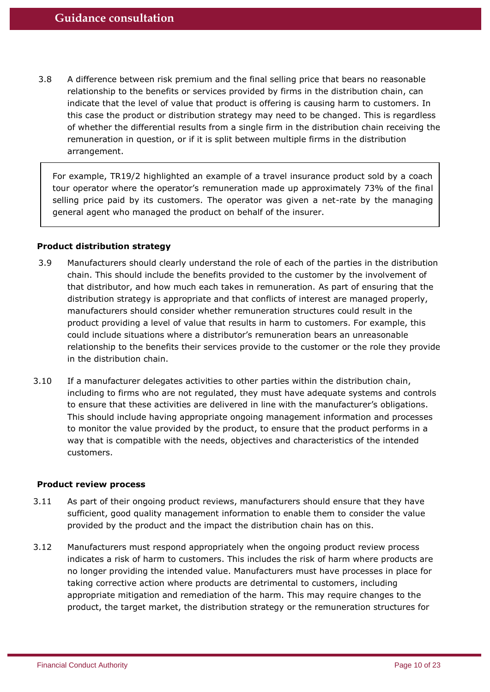<span id="page-9-0"></span>3.8 A difference between risk premium and the final selling price that bears no reasonable relationship to the benefits or services provided by firms in the distribution chain, can indicate that the level of value that product is offering is causing harm to customers. In this case the product or distribution strategy may need to be changed. This is regardless of whether the differential results from a single firm in the distribution chain receiving the remuneration in question, or if it is split between multiple firms in the distribution arrangement.

For example, TR19/2 highlighted an example of a travel insurance product sold by a coach tour operator where the operator's remuneration made up approximately 73% of the final selling price paid by its customers. The operator was given a net-rate by the managing general agent who managed the product on behalf of the insurer.

## **Product distribution strategy**

- 3.9 Manufacturers should clearly understand the role of each of the parties in the distribution chain. This should include the benefits provided to the customer by the involvement of that distributor, and how much each takes in remuneration. As part of ensuring that the distribution strategy is appropriate and that conflicts of interest are managed properly, manufacturers should consider whether remuneration structures could result in the product providing a level of value that results in harm to customers. For example, this could include situations where a distributor's remuneration bears an unreasonable relationship to the benefits their services provide to the customer or the role they provide in the distribution chain.
- 3.10 If a manufacturer delegates activities to other parties within the distribution chain, including to firms who are not regulated, they must have adequate systems and controls to ensure that these activities are delivered in line with the manufacturer's obligations. This should include having appropriate ongoing management information and processes to monitor the value provided by the product, to ensure that the product performs in a way that is compatible with the needs, objectives and characteristics of the intended customers.

### **Product review process**

- 3.11 As part of their ongoing product reviews, manufacturers should ensure that they have sufficient, good quality management information to enable them to consider the value provided by the product and the impact the distribution chain has on this.
- 3.12 Manufacturers must respond appropriately when the ongoing product review process indicates a risk of harm to customers. This includes the risk of harm where products are no longer providing the intended value. Manufacturers must have processes in place for taking corrective action where products are detrimental to customers, including appropriate mitigation and remediation of the harm. This may require changes to the product, the target market, the distribution strategy or the remuneration structures for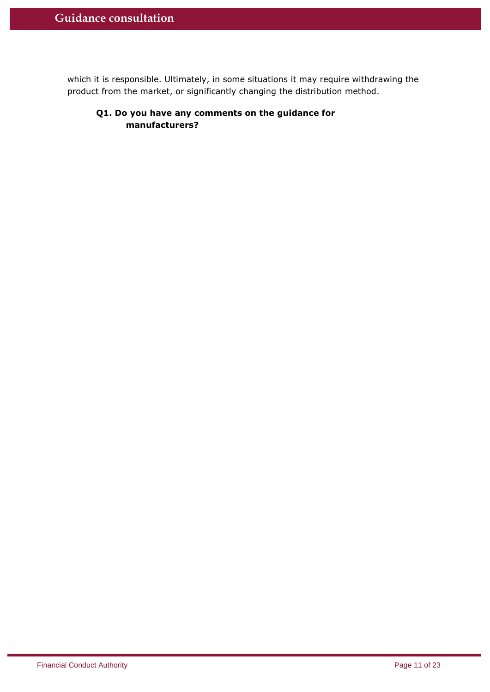which it is responsible. Ultimately, in some situations it may require withdrawing the product from the market, or significantly changing the distribution method.

## **Q1. Do you have any comments on the guidance for manufacturers?**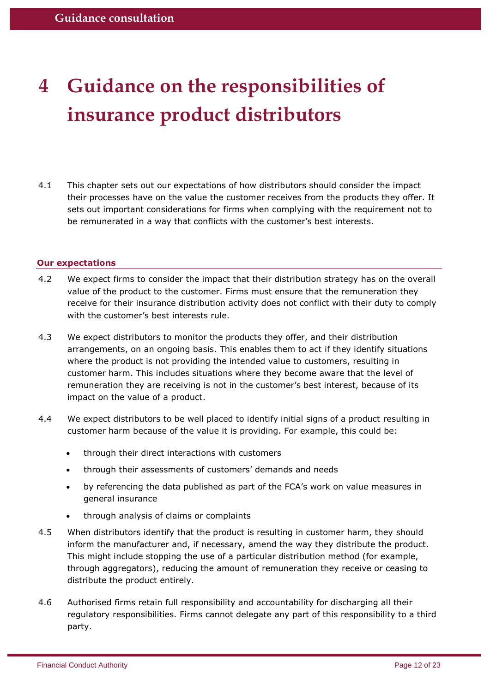# <span id="page-11-0"></span>**4 Guidance on the responsibilities of insurance product distributors**

4.1 This chapter sets out our expectations of how distributors should consider the impact their processes have on the value the customer receives from the products they offer. It sets out important considerations for firms when complying with the requirement not to be remunerated in a way that conflicts with the customer's best interests.

## <span id="page-11-1"></span>**Our expectations**

- 4.2 We expect firms to consider the impact that their distribution strategy has on the overall value of the product to the customer. Firms must ensure that the remuneration they receive for their insurance distribution activity does not conflict with their duty to comply with the customer's best interests rule.
- 4.3 We expect distributors to monitor the products they offer, and their distribution arrangements, on an ongoing basis. This enables them to act if they identify situations where the product is not providing the intended value to customers, resulting in customer harm. This includes situations where they become aware that the level of remuneration they are receiving is not in the customer's best interest, because of its impact on the value of a product.
- 4.4 We expect distributors to be well placed to identify initial signs of a product resulting in customer harm because of the value it is providing. For example, this could be:
	- through their direct interactions with customers
	- through their assessments of customers' demands and needs
	- by referencing the data published as part of the FCA's work on value measures in general insurance
	- through analysis of claims or complaints
- 4.5 When distributors identify that the product is resulting in customer harm, they should inform the manufacturer and, if necessary, amend the way they distribute the product. This might include stopping the use of a particular distribution method (for example, through aggregators), reducing the amount of remuneration they receive or ceasing to distribute the product entirely.
- 4.6 Authorised firms retain full responsibility and accountability for discharging all their regulatory responsibilities. Firms cannot delegate any part of this responsibility to a third party.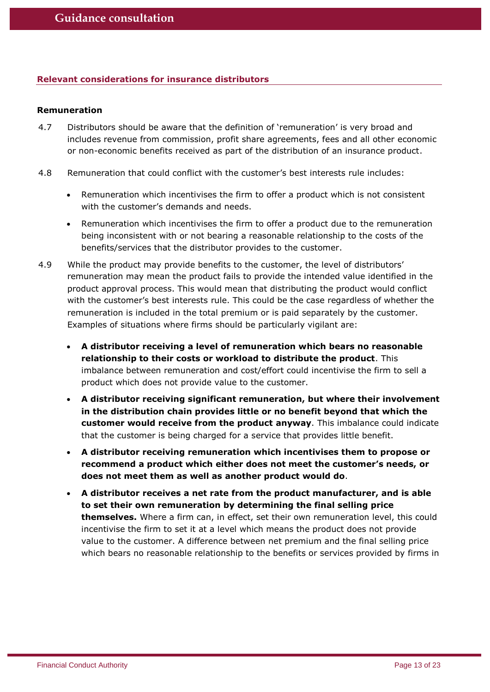## <span id="page-12-0"></span>**Relevant considerations for insurance distributors**

## **Remuneration**

- 4.7 Distributors should be aware that the definition of 'remuneration' is very broad and includes revenue from commission, profit share agreements, fees and all other economic or non-economic benefits received as part of the distribution of an insurance product.
- 4.8 Remuneration that could conflict with the customer's best interests rule includes:
	- Remuneration which incentivises the firm to offer a product which is not consistent with the customer's demands and needs.
	- Remuneration which incentivises the firm to offer a product due to the remuneration being inconsistent with or not bearing a reasonable relationship to the costs of the benefits/services that the distributor provides to the customer.
- 4.9 While the product may provide benefits to the customer, the level of distributors' remuneration may mean the product fails to provide the intended value identified in the product approval process. This would mean that distributing the product would conflict with the customer's best interests rule. This could be the case regardless of whether the remuneration is included in the total premium or is paid separately by the customer. Examples of situations where firms should be particularly vigilant are:
	- **A distributor receiving a level of remuneration which bears no reasonable relationship to their costs or workload to distribute the product**. This imbalance between remuneration and cost/effort could incentivise the firm to sell a product which does not provide value to the customer.
	- **A distributor receiving significant remuneration, but where their involvement in the distribution chain provides little or no benefit beyond that which the customer would receive from the product anyway**. This imbalance could indicate that the customer is being charged for a service that provides little benefit.
	- **A distributor receiving remuneration which incentivises them to propose or recommend a product which either does not meet the customer's needs, or does not meet them as well as another product would do**.
	- **A distributor receives a net rate from the product manufacturer, and is able to set their own remuneration by determining the final selling price themselves.** Where a firm can, in effect, set their own remuneration level, this could incentivise the firm to set it at a level which means the product does not provide value to the customer. A difference between net premium and the final selling price which bears no reasonable relationship to the benefits or services provided by firms in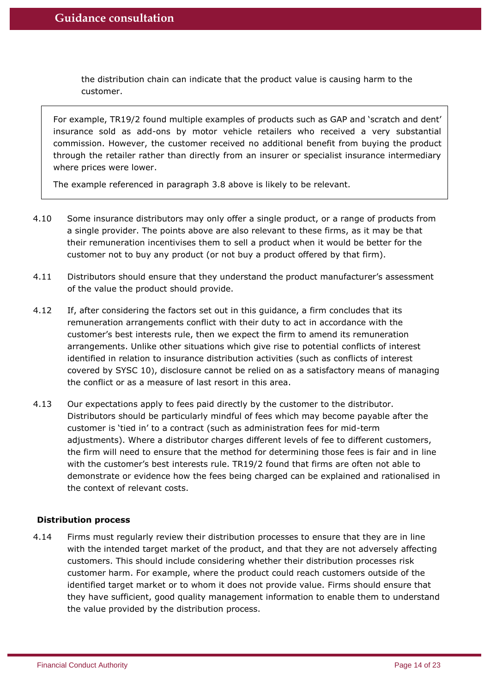the distribution chain can indicate that the product value is causing harm to the customer.

For example, TR19/2 found multiple examples of products such as GAP and 'scratch and dent' insurance sold as add-ons by motor vehicle retailers who received a very substantial commission. However, the customer received no additional benefit from buying the product through the retailer rather than directly from an insurer or specialist insurance intermediary where prices were lower.

The example referenced in paragraph [3.8](#page-9-0) above is likely to be relevant.

- 4.10 Some insurance distributors may only offer a single product, or a range of products from a single provider. The points above are also relevant to these firms, as it may be that their remuneration incentivises them to sell a product when it would be better for the customer not to buy any product (or not buy a product offered by that firm).
- 4.11 Distributors should ensure that they understand the product manufacturer's assessment of the value the product should provide.
- 4.12 If, after considering the factors set out in this guidance, a firm concludes that its remuneration arrangements conflict with their duty to act in accordance with the customer's best interests rule, then we expect the firm to amend its remuneration arrangements. Unlike other situations which give rise to potential conflicts of interest identified in relation to insurance distribution activities (such as conflicts of interest covered by SYSC 10), disclosure cannot be relied on as a satisfactory means of managing the conflict or as a measure of last resort in this area.
- 4.13 Our expectations apply to fees paid directly by the customer to the distributor. Distributors should be particularly mindful of fees which may become payable after the customer is 'tied in' to a contract (such as administration fees for mid-term adjustments). Where a distributor charges different levels of fee to different customers, the firm will need to ensure that the method for determining those fees is fair and in line with the customer's best interests rule. TR19/2 found that firms are often not able to demonstrate or evidence how the fees being charged can be explained and rationalised in the context of relevant costs.

## **Distribution process**

4.14 Firms must regularly review their distribution processes to ensure that they are in line with the intended target market of the product, and that they are not adversely affecting customers. This should include considering whether their distribution processes risk customer harm. For example, where the product could reach customers outside of the identified target market or to whom it does not provide value. Firms should ensure that they have sufficient, good quality management information to enable them to understand the value provided by the distribution process.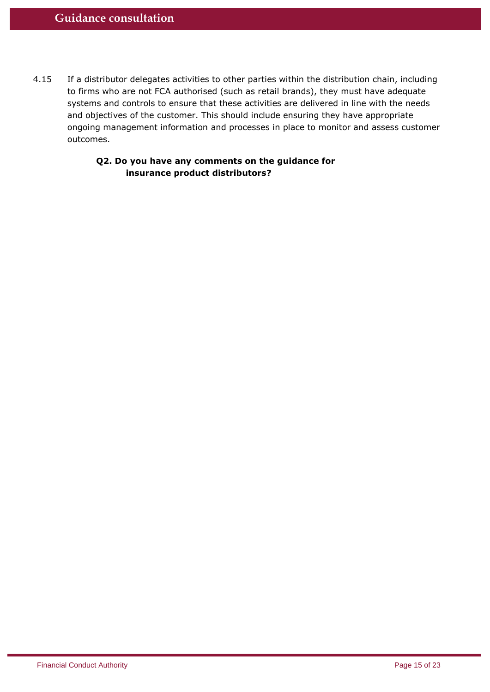4.15 If a distributor delegates activities to other parties within the distribution chain, including to firms who are not FCA authorised (such as retail brands), they must have adequate systems and controls to ensure that these activities are delivered in line with the needs and objectives of the customer. This should include ensuring they have appropriate ongoing management information and processes in place to monitor and assess customer outcomes.

## **Q2. Do you have any comments on the guidance for insurance product distributors?**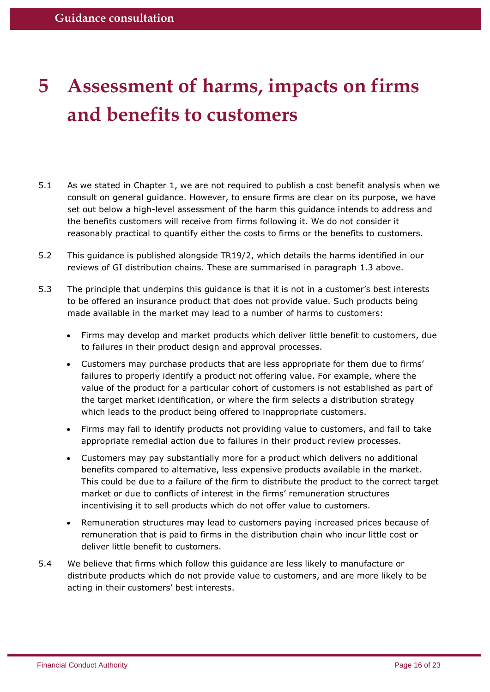# <span id="page-15-0"></span>**5 Assessment of harms, impacts on firms and benefits to customers**

- 5.1 As we stated in Chapter 1, we are not required to publish a cost benefit analysis when we consult on general guidance. However, to ensure firms are clear on its purpose, we have set out below a high-level assessment of the harm this guidance intends to address and the benefits customers will receive from firms following it. We do not consider it reasonably practical to quantify either the costs to firms or the benefits to customers.
- 5.2 This guidance is published alongside TR19/2, which details the harms identified in our reviews of GI distribution chains. These are summarised in paragraph [1.3](#page-2-2) above.
- 5.3 The principle that underpins this guidance is that it is not in a customer's best interests to be offered an insurance product that does not provide value. Such products being made available in the market may lead to a number of harms to customers:
	- Firms may develop and market products which deliver little benefit to customers, due to failures in their product design and approval processes.
	- Customers may purchase products that are less appropriate for them due to firms' failures to properly identify a product not offering value. For example, where the value of the product for a particular cohort of customers is not established as part of the target market identification, or where the firm selects a distribution strategy which leads to the product being offered to inappropriate customers.
	- Firms may fail to identify products not providing value to customers, and fail to take appropriate remedial action due to failures in their product review processes.
	- Customers may pay substantially more for a product which delivers no additional benefits compared to alternative, less expensive products available in the market. This could be due to a failure of the firm to distribute the product to the correct target market or due to conflicts of interest in the firms' remuneration structures incentivising it to sell products which do not offer value to customers.
	- Remuneration structures may lead to customers paying increased prices because of remuneration that is paid to firms in the distribution chain who incur little cost or deliver little benefit to customers.
- 5.4 We believe that firms which follow this guidance are less likely to manufacture or distribute products which do not provide value to customers, and are more likely to be acting in their customers' best interests.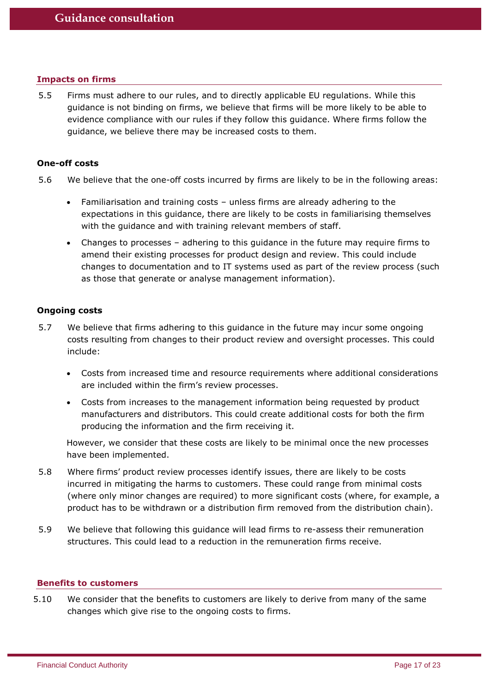## <span id="page-16-0"></span>**Impacts on firms**

5.5 Firms must adhere to our rules, and to directly applicable EU regulations. While this guidance is not binding on firms, we believe that firms will be more likely to be able to evidence compliance with our rules if they follow this guidance. Where firms follow the guidance, we believe there may be increased costs to them.

## **One-off costs**

- 5.6 We believe that the one-off costs incurred by firms are likely to be in the following areas:
	- Familiarisation and training costs unless firms are already adhering to the expectations in this guidance, there are likely to be costs in familiarising themselves with the guidance and with training relevant members of staff.
	- Changes to processes adhering to this guidance in the future may require firms to amend their existing processes for product design and review. This could include changes to documentation and to IT systems used as part of the review process (such as those that generate or analyse management information).

## **Ongoing costs**

- 5.7 We believe that firms adhering to this guidance in the future may incur some ongoing costs resulting from changes to their product review and oversight processes. This could include:
	- Costs from increased time and resource requirements where additional considerations are included within the firm's review processes.
	- Costs from increases to the management information being requested by product manufacturers and distributors. This could create additional costs for both the firm producing the information and the firm receiving it.

However, we consider that these costs are likely to be minimal once the new processes have been implemented.

- 5.8 Where firms' product review processes identify issues, there are likely to be costs incurred in mitigating the harms to customers. These could range from minimal costs (where only minor changes are required) to more significant costs (where, for example, a product has to be withdrawn or a distribution firm removed from the distribution chain).
- 5.9 We believe that following this guidance will lead firms to re-assess their remuneration structures. This could lead to a reduction in the remuneration firms receive.

#### <span id="page-16-1"></span>**Benefits to customers**

5.10 We consider that the benefits to customers are likely to derive from many of the same changes which give rise to the ongoing costs to firms.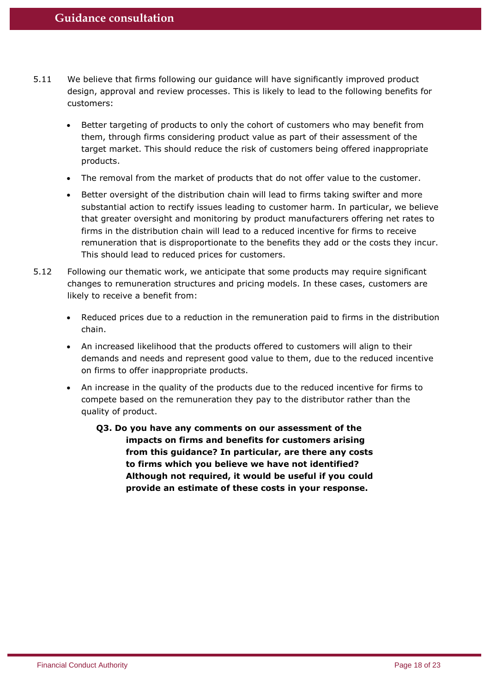- 5.11 We believe that firms following our guidance will have significantly improved product design, approval and review processes. This is likely to lead to the following benefits for customers:
	- Better targeting of products to only the cohort of customers who may benefit from them, through firms considering product value as part of their assessment of the target market. This should reduce the risk of customers being offered inappropriate products.
	- The removal from the market of products that do not offer value to the customer.
	- Better oversight of the distribution chain will lead to firms taking swifter and more substantial action to rectify issues leading to customer harm. In particular, we believe that greater oversight and monitoring by product manufacturers offering net rates to firms in the distribution chain will lead to a reduced incentive for firms to receive remuneration that is disproportionate to the benefits they add or the costs they incur. This should lead to reduced prices for customers.
- 5.12 Following our thematic work, we anticipate that some products may require significant changes to remuneration structures and pricing models. In these cases, customers are likely to receive a benefit from:
	- Reduced prices due to a reduction in the remuneration paid to firms in the distribution chain.
	- An increased likelihood that the products offered to customers will align to their demands and needs and represent good value to them, due to the reduced incentive on firms to offer inappropriate products.
	- An increase in the quality of the products due to the reduced incentive for firms to compete based on the remuneration they pay to the distributor rather than the quality of product.
		- **Q3. Do you have any comments on our assessment of the impacts on firms and benefits for customers arising from this guidance? In particular, are there any costs to firms which you believe we have not identified? Although not required, it would be useful if you could provide an estimate of these costs in your response.**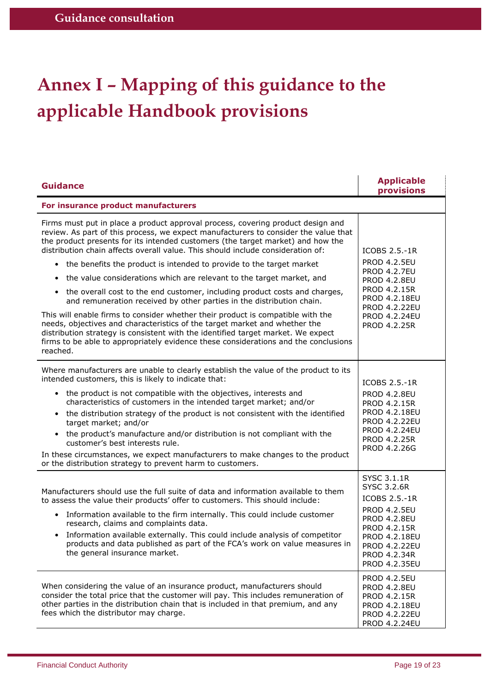# <span id="page-18-0"></span>**Annex I – Mapping of this guidance to the applicable Handbook provisions**

| <b>Guidance</b>                                                                                                                                                                                                                                                                                                                                                                                                                                                                                                                                                                                                                                                                                                                                                                                                                                                                                                                                                                                                           | <b>Applicable</b><br>provisions                                                                                                                                                                                                 |  |  |  |
|---------------------------------------------------------------------------------------------------------------------------------------------------------------------------------------------------------------------------------------------------------------------------------------------------------------------------------------------------------------------------------------------------------------------------------------------------------------------------------------------------------------------------------------------------------------------------------------------------------------------------------------------------------------------------------------------------------------------------------------------------------------------------------------------------------------------------------------------------------------------------------------------------------------------------------------------------------------------------------------------------------------------------|---------------------------------------------------------------------------------------------------------------------------------------------------------------------------------------------------------------------------------|--|--|--|
| For insurance product manufacturers                                                                                                                                                                                                                                                                                                                                                                                                                                                                                                                                                                                                                                                                                                                                                                                                                                                                                                                                                                                       |                                                                                                                                                                                                                                 |  |  |  |
| Firms must put in place a product approval process, covering product design and<br>review. As part of this process, we expect manufacturers to consider the value that<br>the product presents for its intended customers (the target market) and how the<br>distribution chain affects overall value. This should include consideration of:<br>the benefits the product is intended to provide to the target market<br>the value considerations which are relevant to the target market, and<br>the overall cost to the end customer, including product costs and charges,<br>$\bullet$<br>and remuneration received by other parties in the distribution chain.<br>This will enable firms to consider whether their product is compatible with the<br>needs, objectives and characteristics of the target market and whether the<br>distribution strategy is consistent with the identified target market. We expect<br>firms to be able to appropriately evidence these considerations and the conclusions<br>reached. | ICOBS 2.5.-1R<br><b>PROD 4.2.5EU</b><br><b>PROD 4.2.7EU</b><br><b>PROD 4.2.8EU</b><br>PROD 4.2.15R<br>PROD 4.2.18EU<br><b>PROD 4.2.22EU</b><br><b>PROD 4.2.24EU</b><br>PROD 4.2.25R                                             |  |  |  |
| Where manufacturers are unable to clearly establish the value of the product to its<br>intended customers, this is likely to indicate that:<br>• the product is not compatible with the objectives, interests and<br>characteristics of customers in the intended target market; and/or<br>• the distribution strategy of the product is not consistent with the identified<br>target market; and/or<br>• the product's manufacture and/or distribution is not compliant with the<br>customer's best interests rule.<br>In these circumstances, we expect manufacturers to make changes to the product<br>or the distribution strategy to prevent harm to customers.                                                                                                                                                                                                                                                                                                                                                      | ICOBS 2.5.-1R<br><b>PROD 4.2.8EU</b><br>PROD 4.2.15R<br>PROD 4.2.18EU<br><b>PROD 4.2.22EU</b><br><b>PROD 4.2.24EU</b><br>PROD 4.2.25R<br>PROD 4.2.26G                                                                           |  |  |  |
| Manufacturers should use the full suite of data and information available to them<br>to assess the value their products' offer to customers. This should include:<br>Information available to the firm internally. This could include customer<br>research, claims and complaints data.<br>Information available externally. This could include analysis of competitor<br>$\bullet$<br>products and data published as part of the FCA's work on value measures in<br>the general insurance market.                                                                                                                                                                                                                                                                                                                                                                                                                                                                                                                        | <b>SYSC 3.1.1R</b><br><b>SYSC 3.2.6R</b><br>ICOBS 2.5.-1R<br><b>PROD 4.2.5EU</b><br><b>PROD 4.2.8EU</b><br>PROD 4.2.15R<br><b>PROD 4.2.18EU</b><br><b>PROD 4.2.22EU</b><br>PROD 4.2.34R<br>PROD 4.2.35EU<br><b>PROD 4.2.5EU</b> |  |  |  |
| When considering the value of an insurance product, manufacturers should<br>consider the total price that the customer will pay. This includes remuneration of<br>other parties in the distribution chain that is included in that premium, and any<br>fees which the distributor may charge.                                                                                                                                                                                                                                                                                                                                                                                                                                                                                                                                                                                                                                                                                                                             | <b>PROD 4.2.8EU</b><br>PROD 4.2.15R<br><b>PROD 4.2.18EU</b><br>PROD 4.2.22EU<br><b>PROD 4.2.24EU</b>                                                                                                                            |  |  |  |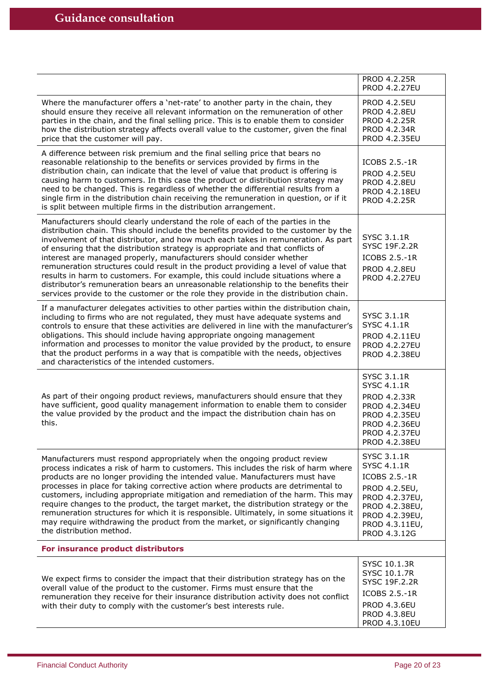|                                                                                                                                                                                                                                                                                                                                                                                                                                                                                                                                                                                                                                                                                                                                                                                  | PROD 4.2.25R<br><b>PROD 4.2.27EU</b>                                                                                                                               |  |  |  |
|----------------------------------------------------------------------------------------------------------------------------------------------------------------------------------------------------------------------------------------------------------------------------------------------------------------------------------------------------------------------------------------------------------------------------------------------------------------------------------------------------------------------------------------------------------------------------------------------------------------------------------------------------------------------------------------------------------------------------------------------------------------------------------|--------------------------------------------------------------------------------------------------------------------------------------------------------------------|--|--|--|
| Where the manufacturer offers a 'net-rate' to another party in the chain, they<br>should ensure they receive all relevant information on the remuneration of other<br>parties in the chain, and the final selling price. This is to enable them to consider<br>how the distribution strategy affects overall value to the customer, given the final<br>price that the customer will pay.                                                                                                                                                                                                                                                                                                                                                                                         | <b>PROD 4.2.5EU</b><br><b>PROD 4.2.8EU</b><br><b>PROD 4.2.25R</b><br>PROD 4.2.34R<br><b>PROD 4.2.35EU</b>                                                          |  |  |  |
| A difference between risk premium and the final selling price that bears no<br>reasonable relationship to the benefits or services provided by firms in the<br>distribution chain, can indicate that the level of value that product is offering is<br>causing harm to customers. In this case the product or distribution strategy may<br>need to be changed. This is regardless of whether the differential results from a<br>single firm in the distribution chain receiving the remuneration in question, or if it<br>is split between multiple firms in the distribution arrangement.                                                                                                                                                                                       | ICOBS 2.5.-1R<br><b>PROD 4.2.5EU</b><br><b>PROD 4.2.8EU</b><br>PROD 4.2.18EU<br><b>PROD 4.2.25R</b>                                                                |  |  |  |
| Manufacturers should clearly understand the role of each of the parties in the<br>distribution chain. This should include the benefits provided to the customer by the<br>involvement of that distributor, and how much each takes in remuneration. As part<br>of ensuring that the distribution strategy is appropriate and that conflicts of<br>interest are managed properly, manufacturers should consider whether<br>remuneration structures could result in the product providing a level of value that<br>results in harm to customers. For example, this could include situations where a<br>distributor's remuneration bears an unreasonable relationship to the benefits their<br>services provide to the customer or the role they provide in the distribution chain. | <b>SYSC 3.1.1R</b><br><b>SYSC 19F.2.2R</b><br>ICOBS 2.5.-1R<br><b>PROD 4.2.8EU</b><br><b>PROD 4.2.27EU</b>                                                         |  |  |  |
| If a manufacturer delegates activities to other parties within the distribution chain,<br>including to firms who are not regulated, they must have adequate systems and<br>controls to ensure that these activities are delivered in line with the manufacturer's<br>obligations. This should include having appropriate ongoing management<br>information and processes to monitor the value provided by the product, to ensure<br>that the product performs in a way that is compatible with the needs, objectives<br>and characteristics of the intended customers.                                                                                                                                                                                                           | <b>SYSC 3.1.1R</b><br>SYSC 4.1.1R<br>PROD 4.2.11EU<br><b>PROD 4.2.27EU</b><br><b>PROD 4.2.38EU</b>                                                                 |  |  |  |
| As part of their ongoing product reviews, manufacturers should ensure that they<br>have sufficient, good quality management information to enable them to consider<br>the value provided by the product and the impact the distribution chain has on<br>this.                                                                                                                                                                                                                                                                                                                                                                                                                                                                                                                    | SYSC 3.1.1R<br><b>SYSC 4.1.1R</b><br>PROD 4.2.33R<br><b>PROD 4.2.34EU</b><br><b>PROD 4.2.35EU</b><br><b>PROD 4.2.36EU</b><br><b>PROD 4.2.37EU</b><br>PROD 4.2.38EU |  |  |  |
| Manufacturers must respond appropriately when the ongoing product review<br>process indicates a risk of harm to customers. This includes the risk of harm where<br>products are no longer providing the intended value. Manufacturers must have<br>processes in place for taking corrective action where products are detrimental to<br>customers, including appropriate mitigation and remediation of the harm. This may<br>require changes to the product, the target market, the distribution strategy or the<br>remuneration structures for which it is responsible. Ultimately, in some situations it<br>may require withdrawing the product from the market, or significantly changing<br>the distribution method.                                                         | SYSC 3.1.1R<br>SYSC 4.1.1R<br>ICOBS 2.5.-1R<br>PROD 4.2.5EU,<br>PROD 4.2.37EU,<br>PROD 4.2.38EU,<br>PROD 4.2.39EU,<br>PROD 4.3.11EU,<br>PROD 4.3.12G               |  |  |  |
| For insurance product distributors                                                                                                                                                                                                                                                                                                                                                                                                                                                                                                                                                                                                                                                                                                                                               |                                                                                                                                                                    |  |  |  |
| We expect firms to consider the impact that their distribution strategy has on the<br>overall value of the product to the customer. Firms must ensure that the<br>remuneration they receive for their insurance distribution activity does not conflict<br>with their duty to comply with the customer's best interests rule.                                                                                                                                                                                                                                                                                                                                                                                                                                                    | SYSC 10.1.3R<br>SYSC 10.1.7R<br>SYSC 19F.2.2R<br>ICOBS 2.5.-1R<br><b>PROD 4.3.6EU</b>                                                                              |  |  |  |
|                                                                                                                                                                                                                                                                                                                                                                                                                                                                                                                                                                                                                                                                                                                                                                                  | <b>PROD 4.3.8EU</b><br>PROD 4.3.10EU                                                                                                                               |  |  |  |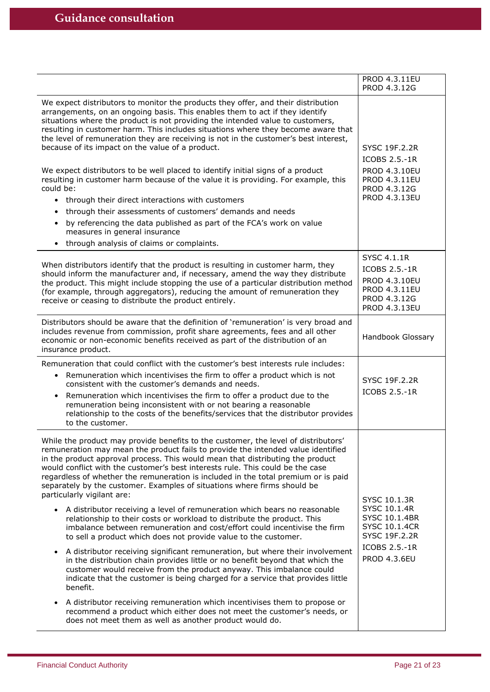|                                                                                                                                                                                                                                                                                                                                                                                                                                                                                                                                                                                                                                                                                                                                                                                                                                                                                                                                                                                            | PROD 4.3.11EU<br>PROD 4.3.12G                                                                            |  |
|--------------------------------------------------------------------------------------------------------------------------------------------------------------------------------------------------------------------------------------------------------------------------------------------------------------------------------------------------------------------------------------------------------------------------------------------------------------------------------------------------------------------------------------------------------------------------------------------------------------------------------------------------------------------------------------------------------------------------------------------------------------------------------------------------------------------------------------------------------------------------------------------------------------------------------------------------------------------------------------------|----------------------------------------------------------------------------------------------------------|--|
| We expect distributors to monitor the products they offer, and their distribution<br>arrangements, on an ongoing basis. This enables them to act if they identify<br>situations where the product is not providing the intended value to customers,<br>resulting in customer harm. This includes situations where they become aware that<br>the level of remuneration they are receiving is not in the customer's best interest,<br>because of its impact on the value of a product.<br>We expect distributors to be well placed to identify initial signs of a product<br>resulting in customer harm because of the value it is providing. For example, this<br>could be:<br>• through their direct interactions with customers<br>through their assessments of customers' demands and needs<br>$\bullet$<br>by referencing the data published as part of the FCA's work on value<br>$\bullet$<br>measures in general insurance<br>through analysis of claims or complaints.<br>$\bullet$ | <b>SYSC 19F.2.2R</b><br>ICOBS 2.5.-1R<br>PROD 4.3.10EU<br>PROD 4.3.11EU<br>PROD 4.3.12G<br>PROD 4.3.13EU |  |
| When distributors identify that the product is resulting in customer harm, they<br>should inform the manufacturer and, if necessary, amend the way they distribute<br>the product. This might include stopping the use of a particular distribution method<br>(for example, through aggregators), reducing the amount of remuneration they<br>receive or ceasing to distribute the product entirely.                                                                                                                                                                                                                                                                                                                                                                                                                                                                                                                                                                                       | <b>SYSC 4.1.1R</b><br>ICOBS 2.5.-1R<br>PROD 4.3.10EU<br>PROD 4.3.11EU<br>PROD 4.3.12G<br>PROD 4.3.13EU   |  |
| Distributors should be aware that the definition of 'remuneration' is very broad and<br>includes revenue from commission, profit share agreements, fees and all other<br>economic or non-economic benefits received as part of the distribution of an<br>insurance product.                                                                                                                                                                                                                                                                                                                                                                                                                                                                                                                                                                                                                                                                                                                | Handbook Glossary                                                                                        |  |
| Remuneration that could conflict with the customer's best interests rule includes:                                                                                                                                                                                                                                                                                                                                                                                                                                                                                                                                                                                                                                                                                                                                                                                                                                                                                                         |                                                                                                          |  |
| Remuneration which incentivises the firm to offer a product which is not<br>$\bullet$<br>consistent with the customer's demands and needs.<br>Remuneration which incentivises the firm to offer a product due to the<br>$\bullet$<br>remuneration being inconsistent with or not bearing a reasonable<br>relationship to the costs of the benefits/services that the distributor provides<br>to the customer.                                                                                                                                                                                                                                                                                                                                                                                                                                                                                                                                                                              | SYSC 19F.2.2R<br>ICOBS 2.5.-1R                                                                           |  |
| While the product may provide benefits to the customer, the level of distributors'<br>remuneration may mean the product fails to provide the intended value identified<br>in the product approval process. This would mean that distributing the product<br>would conflict with the customer's best interests rule. This could be the case<br>regardless of whether the remuneration is included in the total premium or is paid<br>separately by the customer. Examples of situations where firms should be<br>particularly vigilant are:<br>A distributor receiving a level of remuneration which bears no reasonable<br>relationship to their costs or workload to distribute the product. This<br>imbalance between remuneration and cost/effort could incentivise the firm                                                                                                                                                                                                            | SYSC 10.1.3R<br>SYSC 10.1.4R<br>SYSC 10.1.4BR<br><b>SYSC 10.1.4CR</b>                                    |  |
| to sell a product which does not provide value to the customer.<br>A distributor receiving significant remuneration, but where their involvement<br>$\bullet$<br>in the distribution chain provides little or no benefit beyond that which the<br>customer would receive from the product anyway. This imbalance could<br>indicate that the customer is being charged for a service that provides little<br>benefit.<br>A distributor receiving remuneration which incentivises them to propose or<br>$\bullet$<br>recommend a product which either does not meet the customer's needs, or<br>does not meet them as well as another product would do.                                                                                                                                                                                                                                                                                                                                      | SYSC 19F.2.2R<br>ICOBS 2.5.-1R<br><b>PROD 4.3.6EU</b>                                                    |  |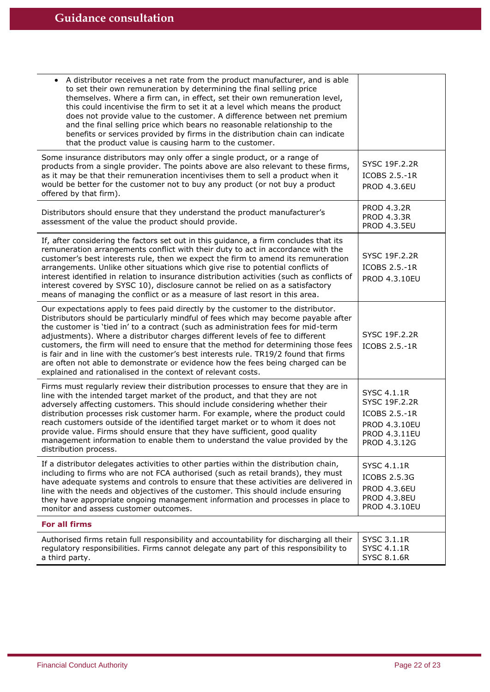| A distributor receives a net rate from the product manufacturer, and is able<br>to set their own remuneration by determining the final selling price<br>themselves. Where a firm can, in effect, set their own remuneration level,<br>this could incentivise the firm to set it at a level which means the product<br>does not provide value to the customer. A difference between net premium<br>and the final selling price which bears no reasonable relationship to the<br>benefits or services provided by firms in the distribution chain can indicate<br>that the product value is causing harm to the customer.                                                        |                                                                                                 |  |  |
|--------------------------------------------------------------------------------------------------------------------------------------------------------------------------------------------------------------------------------------------------------------------------------------------------------------------------------------------------------------------------------------------------------------------------------------------------------------------------------------------------------------------------------------------------------------------------------------------------------------------------------------------------------------------------------|-------------------------------------------------------------------------------------------------|--|--|
| Some insurance distributors may only offer a single product, or a range of<br>products from a single provider. The points above are also relevant to these firms,<br>as it may be that their remuneration incentivises them to sell a product when it<br>would be better for the customer not to buy any product (or not buy a product<br>offered by that firm).                                                                                                                                                                                                                                                                                                               | SYSC 19F.2.2R<br>ICOBS 2.5.-1R<br><b>PROD 4.3.6EU</b>                                           |  |  |
| Distributors should ensure that they understand the product manufacturer's<br>assessment of the value the product should provide.                                                                                                                                                                                                                                                                                                                                                                                                                                                                                                                                              | <b>PROD 4.3.2R</b><br><b>PROD 4.3.3R</b><br><b>PROD 4.3.5EU</b>                                 |  |  |
| If, after considering the factors set out in this guidance, a firm concludes that its<br>remuneration arrangements conflict with their duty to act in accordance with the<br>customer's best interests rule, then we expect the firm to amend its remuneration<br>arrangements. Unlike other situations which give rise to potential conflicts of<br>interest identified in relation to insurance distribution activities (such as conflicts of<br>interest covered by SYSC 10), disclosure cannot be relied on as a satisfactory<br>means of managing the conflict or as a measure of last resort in this area.                                                               | SYSC 19F.2.2R<br>ICOBS 2.5.-1R<br>PROD 4.3.10EU                                                 |  |  |
| Our expectations apply to fees paid directly by the customer to the distributor.<br>Distributors should be particularly mindful of fees which may become payable after<br>the customer is 'tied in' to a contract (such as administration fees for mid-term<br>adjustments). Where a distributor charges different levels of fee to different<br>customers, the firm will need to ensure that the method for determining those fees<br>is fair and in line with the customer's best interests rule. TR19/2 found that firms<br>are often not able to demonstrate or evidence how the fees being charged can be<br>explained and rationalised in the context of relevant costs. | SYSC 19F.2.2R<br>ICOBS 2.5.-1R                                                                  |  |  |
| Firms must regularly review their distribution processes to ensure that they are in<br>line with the intended target market of the product, and that they are not<br>adversely affecting customers. This should include considering whether their<br>distribution processes risk customer harm. For example, where the product could<br>reach customers outside of the identified target market or to whom it does not<br>provide value. Firms should ensure that they have sufficient, good quality<br>management information to enable them to understand the value provided by the<br>distribution process.                                                                 | SYSC 4.1.1R<br>SYSC 19F.2.2R<br>ICOBS 2.5.-1R<br>PROD 4.3.10EU<br>PROD 4.3.11EU<br>PROD 4.3.12G |  |  |
| If a distributor delegates activities to other parties within the distribution chain,<br>including to firms who are not FCA authorised (such as retail brands), they must<br>have adequate systems and controls to ensure that these activities are delivered in<br>line with the needs and objectives of the customer. This should include ensuring<br>they have appropriate ongoing management information and processes in place to<br>monitor and assess customer outcomes.                                                                                                                                                                                                | SYSC 4.1.1R<br>ICOBS 2.5.3G<br><b>PROD 4.3.6EU</b><br><b>PROD 4.3.8EU</b><br>PROD 4.3.10EU      |  |  |
| <b>For all firms</b>                                                                                                                                                                                                                                                                                                                                                                                                                                                                                                                                                                                                                                                           |                                                                                                 |  |  |
| Authorised firms retain full responsibility and accountability for discharging all their<br>regulatory responsibilities. Firms cannot delegate any part of this responsibility to<br>a third party.                                                                                                                                                                                                                                                                                                                                                                                                                                                                            | SYSC 3.1.1R<br>SYSC 4.1.1R<br><b>SYSC 8.1.6R</b>                                                |  |  |